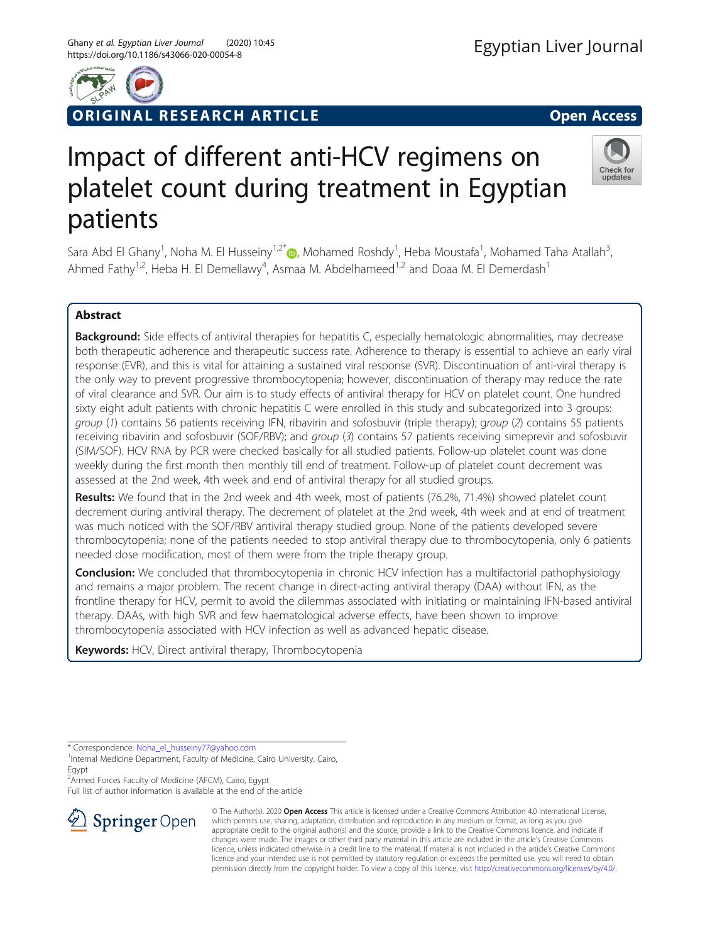

## RIGINAL RESEARCH ARTICLE **External of the Contract Contract Contract Contract Contract Contract Contract Contract Contract Contract Contract Contract Contract Contract Contract Contract Contract Contract Contract Contract**

## Check for updates

# Impact of different anti-HCV regimens on platelet count during treatment in Egyptian patients

Sara Abd El Ghany<sup>1</sup>, Noha M. El Husseiny<sup>1,2[\\*](http://orcid.org/0000-0002-6806-3505)</sup>®, Mohamed Roshdy<sup>1</sup>, Heba Moustafa<sup>1</sup>, Mohamed Taha Atallah<sup>3</sup> , Ahmed Fathy<sup>1,2</sup>, Heba H. El Demellawy<sup>4</sup>, Asmaa M. Abdelhameed<sup>1,2</sup> and Doaa M. El Demerdash<sup>1</sup>

## Abstract

Background: Side effects of antiviral therapies for hepatitis C, especially hematologic abnormalities, may decrease both therapeutic adherence and therapeutic success rate. Adherence to therapy is essential to achieve an early viral response (EVR), and this is vital for attaining a sustained viral response (SVR). Discontinuation of anti-viral therapy is the only way to prevent progressive thrombocytopenia; however, discontinuation of therapy may reduce the rate of viral clearance and SVR. Our aim is to study effects of antiviral therapy for HCV on platelet count. One hundred sixty eight adult patients with chronic hepatitis C were enrolled in this study and subcategorized into 3 groups: group (1) contains 56 patients receiving IFN, ribavirin and sofosbuvir (triple therapy); group (2) contains 55 patients receiving ribavirin and sofosbuvir (SOF/RBV); and group (3) contains 57 patients receiving simeprevir and sofosbuvir (SIM/SOF). HCV RNA by PCR were checked basically for all studied patients. Follow-up platelet count was done weekly during the first month then monthly till end of treatment. Follow-up of platelet count decrement was assessed at the 2nd week, 4th week and end of antiviral therapy for all studied groups.

Results: We found that in the 2nd week and 4th week, most of patients (76.2%, 71.4%) showed platelet count decrement during antiviral therapy. The decrement of platelet at the 2nd week, 4th week and at end of treatment was much noticed with the SOF/RBV antiviral therapy studied group. None of the patients developed severe thrombocytopenia; none of the patients needed to stop antiviral therapy due to thrombocytopenia, only 6 patients needed dose modification, most of them were from the triple therapy group.

**Conclusion:** We concluded that thrombocytopenia in chronic HCV infection has a multifactorial pathophysiology and remains a major problem. The recent change in direct-acting antiviral therapy (DAA) without IFN, as the frontline therapy for HCV, permit to avoid the dilemmas associated with initiating or maintaining IFN-based antiviral therapy. DAAs, with high SVR and few haematological adverse effects, have been shown to improve thrombocytopenia associated with HCV infection as well as advanced hepatic disease.

Keywords: HCV, Direct antiviral therapy, Thrombocytopenia

\* Correspondence: [Noha\\_el\\_husseiny77@yahoo.com](mailto:Noha_el_husseiny77@yahoo.com) <sup>1</sup>

2 Armed Forces Faculty of Medicine (AFCM), Cairo, Egypt Full list of author information is available at the end of the article



© The Author(s). 2020 Open Access This article is licensed under a Creative Commons Attribution 4.0 International License, which permits use, sharing, adaptation, distribution and reproduction in any medium or format, as long as you give appropriate credit to the original author(s) and the source, provide a link to the Creative Commons licence, and indicate if changes were made. The images or other third party material in this article are included in the article's Creative Commons licence, unless indicated otherwise in a credit line to the material. If material is not included in the article's Creative Commons licence and your intended use is not permitted by statutory regulation or exceeds the permitted use, you will need to obtain permission directly from the copyright holder. To view a copy of this licence, visit <http://creativecommons.org/licenses/by/4.0/>.

<sup>&</sup>lt;sup>1</sup>Internal Medicine Department, Faculty of Medicine, Cairo University, Cairo, Egypt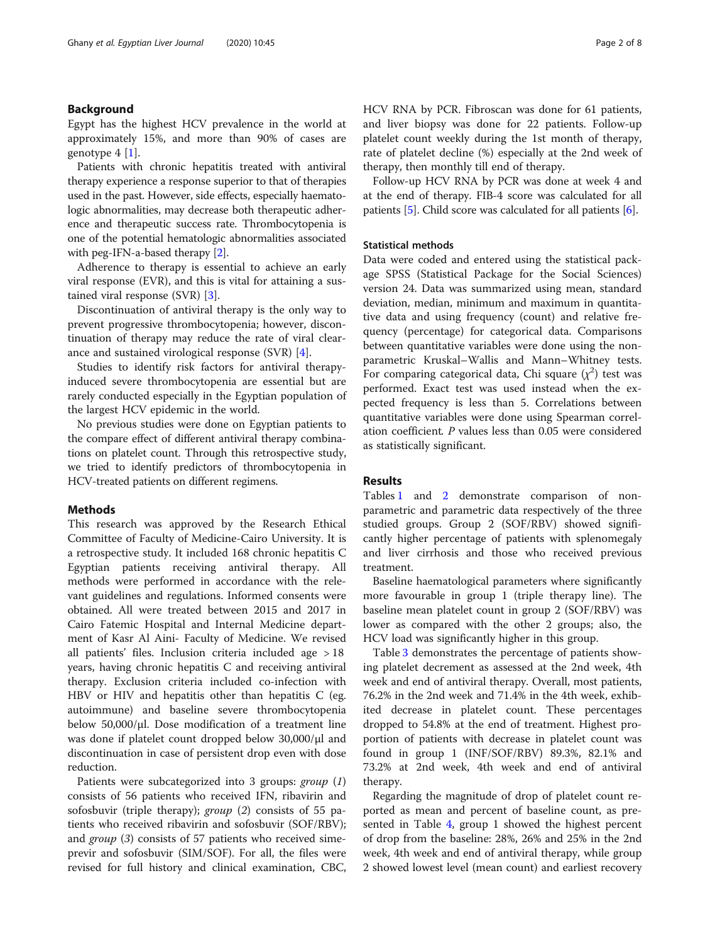#### Background

Egypt has the highest HCV prevalence in the world at approximately 15%, and more than 90% of cases are genotype 4 [\[1](#page-7-0)].

Patients with chronic hepatitis treated with antiviral therapy experience a response superior to that of therapies used in the past. However, side effects, especially haematologic abnormalities, may decrease both therapeutic adherence and therapeutic success rate. Thrombocytopenia is one of the potential hematologic abnormalities associated with peg-IFN-a-based therapy [\[2\]](#page-7-0).

Adherence to therapy is essential to achieve an early viral response (EVR), and this is vital for attaining a sustained viral response (SVR) [\[3](#page-7-0)].

Discontinuation of antiviral therapy is the only way to prevent progressive thrombocytopenia; however, discontinuation of therapy may reduce the rate of viral clearance and sustained virological response (SVR) [\[4](#page-7-0)].

Studies to identify risk factors for antiviral therapyinduced severe thrombocytopenia are essential but are rarely conducted especially in the Egyptian population of the largest HCV epidemic in the world.

No previous studies were done on Egyptian patients to the compare effect of different antiviral therapy combinations on platelet count. Through this retrospective study, we tried to identify predictors of thrombocytopenia in HCV-treated patients on different regimens.

#### **Methods**

This research was approved by the Research Ethical Committee of Faculty of Medicine-Cairo University. It is a retrospective study. It included 168 chronic hepatitis C Egyptian patients receiving antiviral therapy. All methods were performed in accordance with the relevant guidelines and regulations. Informed consents were obtained. All were treated between 2015 and 2017 in Cairo Fatemic Hospital and Internal Medicine department of Kasr Al Aini- Faculty of Medicine. We revised all patients' files. Inclusion criteria included age > 18 years, having chronic hepatitis C and receiving antiviral therapy. Exclusion criteria included co-infection with HBV or HIV and hepatitis other than hepatitis C (eg. autoimmune) and baseline severe thrombocytopenia below  $50,000/\mu$ . Dose modification of a treatment line was done if platelet count dropped below 30,000/μl and discontinuation in case of persistent drop even with dose reduction.

Patients were subcategorized into 3 groups:  $group(1)$ consists of 56 patients who received IFN, ribavirin and sofosbuvir (triple therapy); group (2) consists of 55 patients who received ribavirin and sofosbuvir (SOF/RBV); and *group* (3) consists of 57 patients who received simeprevir and sofosbuvir (SIM/SOF). For all, the files were revised for full history and clinical examination, CBC, HCV RNA by PCR. Fibroscan was done for 61 patients, and liver biopsy was done for 22 patients. Follow-up platelet count weekly during the 1st month of therapy, rate of platelet decline (%) especially at the 2nd week of therapy, then monthly till end of therapy.

Follow-up HCV RNA by PCR was done at week 4 and at the end of therapy. FIB-4 score was calculated for all patients [[5\]](#page-7-0). Child score was calculated for all patients [\[6](#page-7-0)].

#### Statistical methods

Data were coded and entered using the statistical package SPSS (Statistical Package for the Social Sciences) version 24. Data was summarized using mean, standard deviation, median, minimum and maximum in quantitative data and using frequency (count) and relative frequency (percentage) for categorical data. Comparisons between quantitative variables were done using the nonparametric Kruskal–Wallis and Mann–Whitney tests. For comparing categorical data, Chi square  $(\chi^2)$  test was performed. Exact test was used instead when the expected frequency is less than 5. Correlations between quantitative variables were done using Spearman correlation coefficient. P values less than 0.05 were considered as statistically significant.

#### Results

Tables [1](#page-2-0) and [2](#page-3-0) demonstrate comparison of nonparametric and parametric data respectively of the three studied groups. Group 2 (SOF/RBV) showed significantly higher percentage of patients with splenomegaly and liver cirrhosis and those who received previous treatment.

Baseline haematological parameters where significantly more favourable in group 1 (triple therapy line). The baseline mean platelet count in group 2 (SOF/RBV) was lower as compared with the other 2 groups; also, the HCV load was significantly higher in this group.

Table [3](#page-4-0) demonstrates the percentage of patients showing platelet decrement as assessed at the 2nd week, 4th week and end of antiviral therapy. Overall, most patients, 76.2% in the 2nd week and 71.4% in the 4th week, exhibited decrease in platelet count. These percentages dropped to 54.8% at the end of treatment. Highest proportion of patients with decrease in platelet count was found in group 1 (INF/SOF/RBV) 89.3%, 82.1% and 73.2% at 2nd week, 4th week and end of antiviral therapy.

Regarding the magnitude of drop of platelet count reported as mean and percent of baseline count, as presented in Table [4](#page-4-0), group 1 showed the highest percent of drop from the baseline: 28%, 26% and 25% in the 2nd week, 4th week and end of antiviral therapy, while group 2 showed lowest level (mean count) and earliest recovery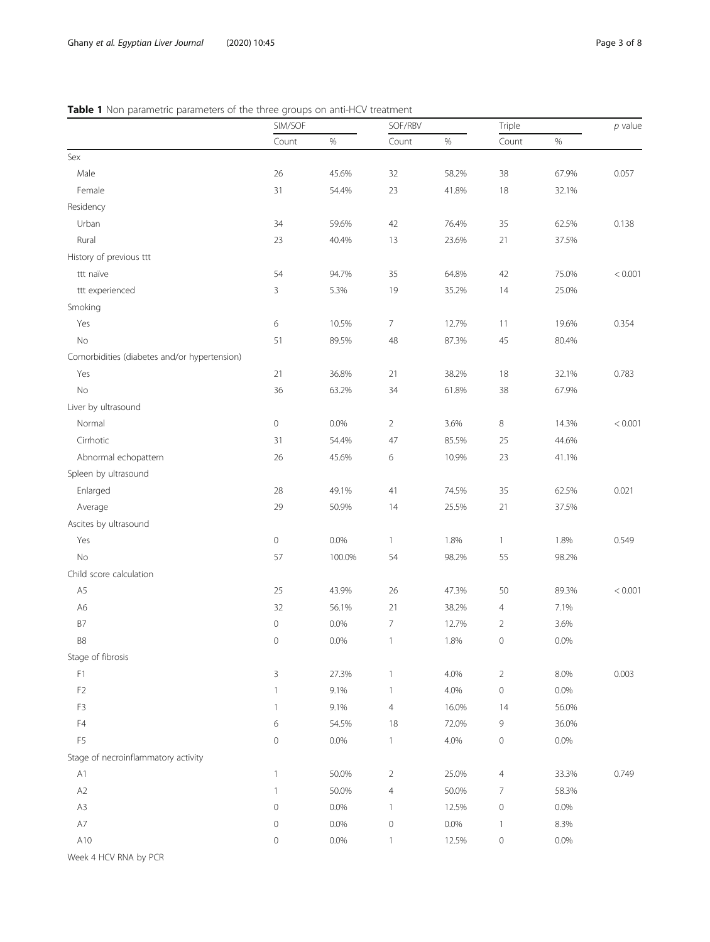### <span id="page-2-0"></span>Table 1 Non parametric parameters of the three groups on anti-HCV treatment

|                                              | SIM/SOF             |         | SOF/RBV        |       | Triple              |       | $p$ value |
|----------------------------------------------|---------------------|---------|----------------|-------|---------------------|-------|-----------|
|                                              | Count               | $\%$    | Count          | $\%$  | Count               | $\%$  |           |
| Sex                                          |                     |         |                |       |                     |       |           |
| Male                                         | 26                  | 45.6%   | 32             | 58.2% | 38                  | 67.9% | 0.057     |
| Female                                       | 31                  | 54.4%   | 23             | 41.8% | 18                  | 32.1% |           |
| Residency                                    |                     |         |                |       |                     |       |           |
| Urban                                        | 34                  | 59.6%   | 42             | 76.4% | 35                  | 62.5% | 0.138     |
| Rural                                        | 23                  | 40.4%   | 13             | 23.6% | 21                  | 37.5% |           |
| History of previous ttt                      |                     |         |                |       |                     |       |           |
| ttt naïve                                    | 54                  | 94.7%   | 35             | 64.8% | 42                  | 75.0% | < 0.001   |
| ttt experienced                              | 3                   | 5.3%    | 19             | 35.2% | 14                  | 25.0% |           |
| Smoking                                      |                     |         |                |       |                     |       |           |
| Yes                                          | 6                   | 10.5%   | $\overline{7}$ | 12.7% | 11                  | 19.6% | 0.354     |
| <b>No</b>                                    | 51                  | 89.5%   | 48             | 87.3% | 45                  | 80.4% |           |
| Comorbidities (diabetes and/or hypertension) |                     |         |                |       |                     |       |           |
| Yes                                          | 21                  | 36.8%   | 21             | 38.2% | 18                  | 32.1% | 0.783     |
| <b>No</b>                                    | 36                  | 63.2%   | 34             | 61.8% | 38                  | 67.9% |           |
| Liver by ultrasound                          |                     |         |                |       |                     |       |           |
| Normal                                       | $\mathbf 0$         | $0.0\%$ | $\overline{2}$ | 3.6%  | 8                   | 14.3% | < 0.001   |
| Cirrhotic                                    | 31                  | 54.4%   | 47             | 85.5% | 25                  | 44.6% |           |
| Abnormal echopattern                         | 26                  | 45.6%   | 6              | 10.9% | 23                  | 41.1% |           |
| Spleen by ultrasound                         |                     |         |                |       |                     |       |           |
| Enlarged                                     | 28                  | 49.1%   | 41             | 74.5% | 35                  | 62.5% | 0.021     |
| Average                                      | 29                  | 50.9%   | 14             | 25.5% | 21                  | 37.5% |           |
| Ascites by ultrasound                        |                     |         |                |       |                     |       |           |
| Yes                                          | 0                   | $0.0\%$ | $\mathbf{1}$   | 1.8%  | $\mathbf{1}$        | 1.8%  | 0.549     |
| No                                           | 57                  | 100.0%  | 54             | 98.2% | 55                  | 98.2% |           |
| Child score calculation                      |                     |         |                |       |                     |       |           |
| A5                                           | 25                  | 43.9%   | 26             | 47.3% | 50                  | 89.3% | < 0.001   |
| A <sub>6</sub>                               | 32                  | 56.1%   | 21             | 38.2% | $\overline{4}$      | 7.1%  |           |
| B7                                           | 0                   | 0.0%    | $\overline{7}$ | 12.7% | $\overline{2}$      | 3.6%  |           |
| B8                                           | 0                   | 0.0%    | $\mathbf{1}$   | 1.8%  | $\mathsf{O}\xspace$ | 0.0%  |           |
| Stage of fibrosis                            |                     |         |                |       |                     |       |           |
| F1                                           | 3                   | 27.3%   | $\mathbf{1}$   | 4.0%  | $\overline{2}$      | 8.0%  | 0.003     |
| F <sub>2</sub>                               | 1                   | 9.1%    | $\mathbf{1}$   | 4.0%  | $\mathsf{O}\xspace$ | 0.0%  |           |
| F3                                           | $\mathbf{1}$        | 9.1%    | $\overline{4}$ | 16.0% | 14                  | 56.0% |           |
| F4                                           | 6                   | 54.5%   | 18             | 72.0% | 9                   | 36.0% |           |
| F <sub>5</sub>                               | 0                   | $0.0\%$ | $\mathbf{1}$   | 4.0%  | $\mathsf{O}\xspace$ | 0.0%  |           |
| Stage of necroinflammatory activity          |                     |         |                |       |                     |       |           |
| A1                                           | $\mathbf{1}$        | 50.0%   | $\overline{2}$ | 25.0% | $\overline{4}$      | 33.3% | 0.749     |
| A2                                           | $\mathbf{1}$        | 50.0%   | $\overline{4}$ | 50.0% | 7                   | 58.3% |           |
| A3                                           | $\mathbf 0$         | 0.0%    | $\mathbf{1}$   | 12.5% | $\mathsf{O}\xspace$ | 0.0%  |           |
| $\mathsf{A}7$                                | $\mathbf 0$         | 0.0%    | $\circ$        | 0.0%  | $\mathbf{1}$        | 8.3%  |           |
| A10                                          | $\mathsf{O}\xspace$ | 0.0%    | $\mathbf{1}$   | 12.5% | $\mathsf{O}\xspace$ | 0.0%  |           |
|                                              |                     |         |                |       |                     |       |           |

Week 4 HCV RNA by PCR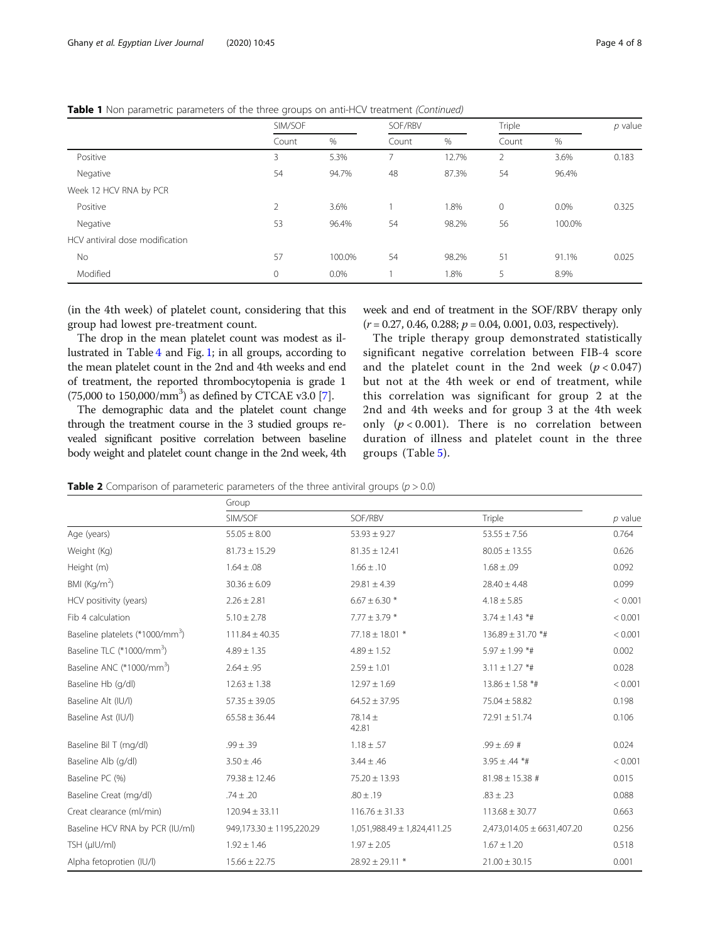#### <span id="page-3-0"></span>Table 1 Non parametric parameters of the three groups on anti-HCV treatment (Continued)

|                                 | SIM/SOF        |        | SOF/RBV |       | Triple       |         | $p$ value |
|---------------------------------|----------------|--------|---------|-------|--------------|---------|-----------|
|                                 | Count          | $\%$   | Count   | $\%$  | Count        | %       |           |
| Positive                        | 3              | 5.3%   | 7       | 12.7% | 2            | 3.6%    | 0.183     |
| Negative                        | 54             | 94.7%  | 48      | 87.3% | 54           | 96.4%   |           |
| Week 12 HCV RNA by PCR          |                |        |         |       |              |         |           |
| Positive                        | $\overline{2}$ | 3.6%   |         | 1.8%  | $\mathbf{0}$ | $0.0\%$ | 0.325     |
| Negative                        | 53             | 96.4%  | 54      | 98.2% | 56           | 100.0%  |           |
| HCV antiviral dose modification |                |        |         |       |              |         |           |
| No                              | 57             | 100.0% | 54      | 98.2% | 51           | 91.1%   | 0.025     |
| Modified                        | $\mathbf{0}$   | 0.0%   |         | 1.8%  | 5            | 8.9%    |           |

(in the 4th week) of platelet count, considering that this group had lowest pre-treatment count.

The drop in the mean platelet count was modest as illustrated in Table [4](#page-4-0) and Fig. [1;](#page-5-0) in all groups, according to the mean platelet count in the 2nd and 4th weeks and end of treatment, the reported thrombocytopenia is grade 1  $(75,000 \text{ to } 150,000/\text{mm}^3)$  as defined by CTCAE v3.0 [\[7](#page-7-0)].

The demographic data and the platelet count change through the treatment course in the 3 studied groups revealed significant positive correlation between baseline body weight and platelet count change in the 2nd week, 4th week and end of treatment in the SOF/RBV therapy only  $(r = 0.27, 0.46, 0.288; p = 0.04, 0.001, 0.03$ , respectively).

The triple therapy group demonstrated statistically significant negative correlation between FIB-4 score and the platelet count in the 2nd week  $(p < 0.047)$ but not at the 4th week or end of treatment, while this correlation was significant for group 2 at the 2nd and 4th weeks and for group 3 at the 4th week only  $(p < 0.001)$ . There is no correlation between duration of illness and platelet count in the three groups (Table [5\)](#page-5-0).

**Table 2** Comparison of parameteric parameters of the three antiviral groups ( $p > 0.0$ )

|                                             | Group                    |                             |                            |           |
|---------------------------------------------|--------------------------|-----------------------------|----------------------------|-----------|
|                                             | SIM/SOF                  | SOF/RBV                     | Triple                     | $p$ value |
| Age (years)                                 | $55.05 \pm 8.00$         | $53.93 \pm 9.27$            | $53.55 \pm 7.56$           | 0.764     |
| Weight (Kg)                                 | $81.73 \pm 15.29$        | $81.35 \pm 12.41$           | $80.05 \pm 13.55$          | 0.626     |
| Height (m)                                  | $1.64 \pm .08$           | $1.66 \pm .10$              | $1.68 \pm .09$             | 0.092     |
| BMI (Kg/m <sup>2</sup> )                    | $30.36 \pm 6.09$         | $29.81 \pm 4.39$            | $28.40 \pm 4.48$           | 0.099     |
| HCV positivity (years)                      | $2.26 \pm 2.81$          | $6.67 \pm 6.30$ *           | $4.18 \pm 5.85$            | < 0.001   |
| Fib 4 calculation                           | $5.10 \pm 2.78$          | $7.77 \pm 3.79$ *           | $3.74 \pm 1.43$ *#         | < 0.001   |
| Baseline platelets (*1000/mm <sup>3</sup> ) | $111.84 \pm 40.35$       | $77.18 \pm 18.01$ *         | 136.89 ± 31.70 *#          | < 0.001   |
| Baseline TLC (*1000/mm <sup>3</sup> )       | $4.89 \pm 1.35$          | $4.89 \pm 1.52$             | $5.97 \pm 1.99$ *#         | 0.002     |
| Baseline ANC (*1000/mm <sup>3</sup> )       | $2.64 \pm .95$           | $2.59 \pm 1.01$             | $3.11 \pm 1.27$ *#         | 0.028     |
| Baseline Hb (q/dl)                          | $12.63 \pm 1.38$         | $12.97 \pm 1.69$            | $13.86 \pm 1.58$ *#        | < 0.001   |
| Baseline Alt (IU/I)                         | $57.35 \pm 39.05$        | $64.52 \pm 37.95$           | $75.04 \pm 58.82$          | 0.198     |
| Baseline Ast (IU/I)                         | $65.58 \pm 36.44$        | $78.14 \pm$<br>42.81        | $72.91 \pm 51.74$          | 0.106     |
| Baseline Bil T (mg/dl)                      | $.99 \pm .39$            | $1.18 \pm .57$              | $.99 \pm .69$ #            | 0.024     |
| Baseline Alb (q/dl)                         | $3.50 \pm .46$           | $3.44 \pm .46$              | $3.95 \pm .44$ *#          | < 0.001   |
| Baseline PC (%)                             | 79.38 ± 12.46            | $75.20 \pm 13.93$           | $81.98 \pm 15.38$ #        | 0.015     |
| Baseline Creat (mg/dl)                      | $.74 \pm .20$            | $.80 \pm .19$               | $.83 \pm .23$              | 0.088     |
| Creat clearance (ml/min)                    | $120.94 \pm 33.11$       | $116.76 \pm 31.33$          | $113.68 \pm 30.77$         | 0.663     |
| Baseline HCV RNA by PCR (IU/ml)             | 949,173.30 ± 1195,220.29 | 1,051,988.49 ± 1,824,411.25 | 2,473,014.05 ± 6631,407.20 | 0.256     |
| TSH (µIU/ml)                                | $1.92 \pm 1.46$          | $1.97 \pm 2.05$             | $1.67 \pm 1.20$            | 0.518     |
| Alpha fetoprotien (IU/I)                    | $15.66 \pm 22.75$        | $28.92 \pm 29.11$ *         | $21.00 \pm 30.15$          | 0.001     |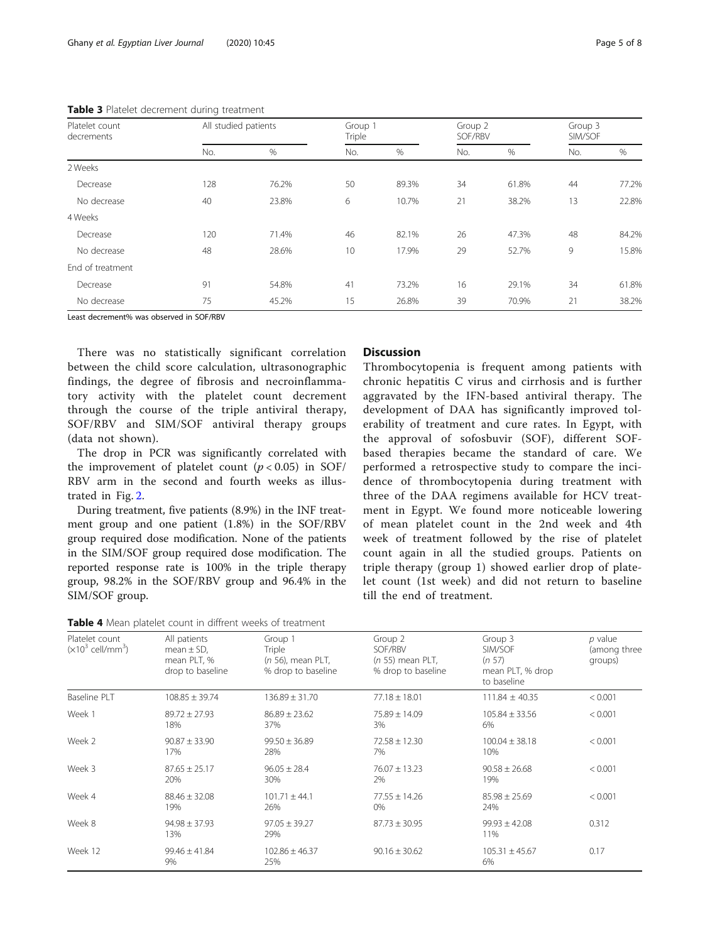| Platelet count<br>decrements | All studied patients |       | Group 1<br>Triple |       | Group 2<br>SOF/RBV |       | Group 3<br>SIM/SOF |       |
|------------------------------|----------------------|-------|-------------------|-------|--------------------|-------|--------------------|-------|
|                              | No.                  | $\%$  | No.               | $\%$  | No.                | $\%$  | No.                | %     |
| 2 Weeks                      |                      |       |                   |       |                    |       |                    |       |
| Decrease                     | 128                  | 76.2% | 50                | 89.3% | 34                 | 61.8% | 44                 | 77.2% |
| No decrease                  | 40                   | 23.8% | 6                 | 10.7% | 21                 | 38.2% | 13                 | 22.8% |
| 4 Weeks                      |                      |       |                   |       |                    |       |                    |       |
| Decrease                     | 120                  | 71.4% | 46                | 82.1% | 26                 | 47.3% | 48                 | 84.2% |
| No decrease                  | 48                   | 28.6% | 10                | 17.9% | 29                 | 52.7% | 9                  | 15.8% |
| End of treatment             |                      |       |                   |       |                    |       |                    |       |
| Decrease                     | 91                   | 54.8% | 41                | 73.2% | 16                 | 29.1% | 34                 | 61.8% |
| No decrease                  | 75                   | 45.2% | 15                | 26.8% | 39                 | 70.9% | 21                 | 38.2% |

<span id="page-4-0"></span>Table 3 Platelet decrement during treatment

Least decrement% was observed in SOF/RBV

There was no statistically significant correlation between the child score calculation, ultrasonographic findings, the degree of fibrosis and necroinflammatory activity with the platelet count decrement through the course of the triple antiviral therapy, SOF/RBV and SIM/SOF antiviral therapy groups (data not shown).

The drop in PCR was significantly correlated with the improvement of platelet count  $(p < 0.05)$  in SOF/ RBV arm in the second and fourth weeks as illustrated in Fig. [2](#page-6-0).

During treatment, five patients (8.9%) in the INF treatment group and one patient (1.8%) in the SOF/RBV group required dose modification. None of the patients in the SIM/SOF group required dose modification. The reported response rate is 100% in the triple therapy group, 98.2% in the SOF/RBV group and 96.4% in the SIM/SOF group.

#### **Discussion**

Thrombocytopenia is frequent among patients with chronic hepatitis C virus and cirrhosis and is further aggravated by the IFN-based antiviral therapy. The development of DAA has significantly improved tolerability of treatment and cure rates. In Egypt, with the approval of sofosbuvir (SOF), different SOFbased therapies became the standard of care. We performed a retrospective study to compare the incidence of thrombocytopenia during treatment with three of the DAA regimens available for HCV treatment in Egypt. We found more noticeable lowering of mean platelet count in the 2nd week and 4th week of treatment followed by the rise of platelet count again in all the studied groups. Patients on triple therapy (group 1) showed earlier drop of platelet count (1st week) and did not return to baseline till the end of treatment.

| Table 4 Mean platelet count in diffrent weeks of treatment |  |  |  |
|------------------------------------------------------------|--|--|--|
|------------------------------------------------------------|--|--|--|

| Platelet count<br>$(x10^3 \text{ cell/mm}^3)$ | All patients<br>mean $\pm$ SD,<br>mean PLT, %<br>drop to baseline | Group 1<br><b>Triple</b><br>$(n 56)$ , mean PLT,<br>% drop to baseline | Group 2<br>SOF/RBV<br>$(n 55)$ mean PLT,<br>% drop to baseline | Group 3<br>SIM/SOF<br>(n 57)<br>mean PLT, % drop<br>to baseline | $p$ value<br>(among three<br>groups) |
|-----------------------------------------------|-------------------------------------------------------------------|------------------------------------------------------------------------|----------------------------------------------------------------|-----------------------------------------------------------------|--------------------------------------|
| <b>Baseline PLT</b>                           | $108.85 \pm 39.74$                                                | $136.89 \pm 31.70$                                                     | $77.18 \pm 18.01$                                              | $111.84 \pm 40.35$                                              | < 0.001                              |
| Week 1                                        | $89.72 \pm 27.93$<br>18%                                          | $86.89 \pm 23.62$<br>37%                                               | $75.89 \pm 14.09$<br>3%                                        | $105.84 \pm 33.56$<br>6%                                        | < 0.001                              |
| Week 2                                        | $90.87 \pm 33.90$<br>17%                                          | $99.50 \pm 36.89$<br>28%                                               | $72.58 \pm 12.30$<br>7%                                        | $100.04 \pm 38.18$<br>10%                                       | < 0.001                              |
| Week 3                                        | $87.65 \pm 25.17$<br>20%                                          | $96.05 \pm 28.4$<br>30%                                                | $76.07 + 13.23$<br>2%                                          | $90.58 \pm 26.68$<br>19%                                        | < 0.001                              |
| Week 4                                        | $88.46 \pm 32.08$<br>19%                                          | $101.71 \pm 44.1$<br>26%                                               | $77.55 \pm 14.26$<br>0%                                        | $85.98 \pm 25.69$<br>24%                                        | < 0.001                              |
| Week 8                                        | $94.98 \pm 37.93$<br>13%                                          | $97.05 \pm 39.27$<br>29%                                               | $87.73 \pm 30.95$                                              | $99.93 \pm 42.08$<br>11%                                        | 0.312                                |
| Week 12                                       | $99.46 \pm 41.84$<br>9%                                           | $102.86 \pm 46.37$<br>25%                                              | $90.16 \pm 30.62$                                              | $105.31 \pm 45.67$<br>6%                                        | 0.17                                 |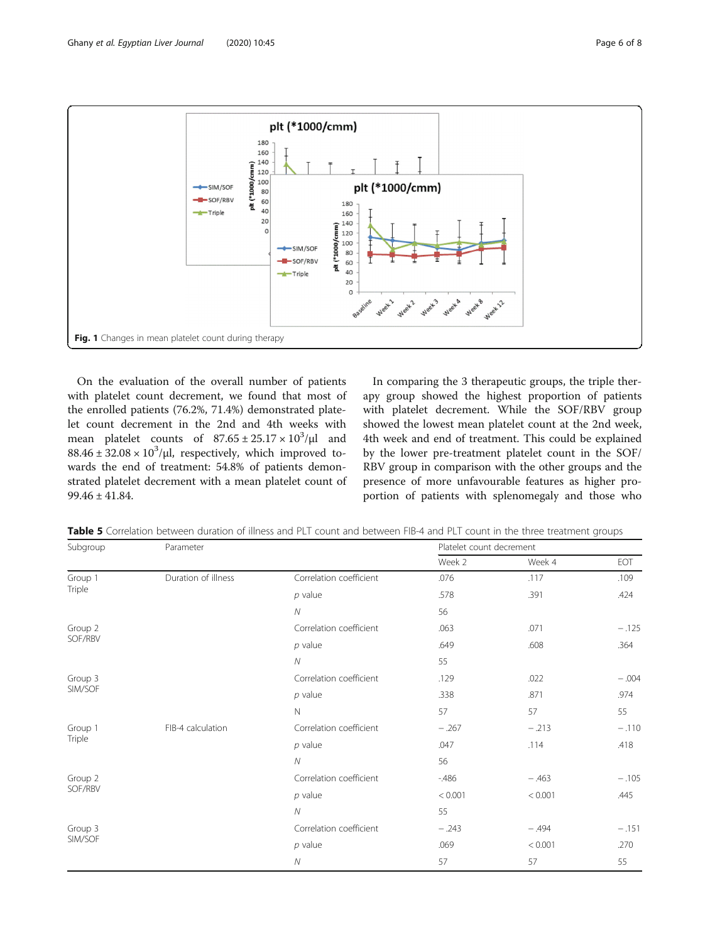<span id="page-5-0"></span>

On the evaluation of the overall number of patients with platelet count decrement, we found that most of the enrolled patients (76.2%, 71.4%) demonstrated platelet count decrement in the 2nd and 4th weeks with mean platelet counts of  $87.65 \pm 25.17 \times 10^3/\mu l$  and  $88.46 \pm 32.08 \times 10^3/\mu$ , respectively, which improved towards the end of treatment: 54.8% of patients demonstrated platelet decrement with a mean platelet count of 99.46 ± 41.84.

In comparing the 3 therapeutic groups, the triple therapy group showed the highest proportion of patients with platelet decrement. While the SOF/RBV group showed the lowest mean platelet count at the 2nd week, 4th week and end of treatment. This could be explained by the lower pre-treatment platelet count in the SOF/ RBV group in comparison with the other groups and the presence of more unfavourable features as higher proportion of patients with splenomegaly and those who

| Subgroup | Parameter                                                                                                                                                                                                                                          |                         | Platelet count decrement |         |         |  |
|----------|----------------------------------------------------------------------------------------------------------------------------------------------------------------------------------------------------------------------------------------------------|-------------------------|--------------------------|---------|---------|--|
|          |                                                                                                                                                                                                                                                    |                         | Week 2                   | Week 4  | EOT     |  |
| Group 1  | Duration of illness                                                                                                                                                                                                                                | Correlation coefficient | .076                     | .117    | .109    |  |
| Triple   |                                                                                                                                                                                                                                                    | $p$ value               | .578                     | .391    | .424    |  |
|          |                                                                                                                                                                                                                                                    | ${\cal N}$              | 56                       |         |         |  |
| Group 2  |                                                                                                                                                                                                                                                    | Correlation coefficient | .063                     | .071    | $-.125$ |  |
| SOF/RBV  | $p$ value<br>${\cal N}$<br>Correlation coefficient<br>$p$ value<br>$\mathbb N$<br>FIB-4 calculation<br>Correlation coefficient<br>$p$ value<br>$\overline{N}$<br>Correlation coefficient<br>$p$ value<br>Ν<br>Correlation coefficient<br>$p$ value |                         | .649                     | .608    | .364    |  |
|          |                                                                                                                                                                                                                                                    |                         | 55                       |         |         |  |
| Group 3  |                                                                                                                                                                                                                                                    |                         | .129                     | .022    | $-.004$ |  |
| SIM/SOF  |                                                                                                                                                                                                                                                    |                         | .338                     | .871    | .974    |  |
|          |                                                                                                                                                                                                                                                    |                         | 57                       | 57      | 55      |  |
| Group 1  |                                                                                                                                                                                                                                                    |                         | $-.267$                  | $-.213$ | $-.110$ |  |
| Triple   |                                                                                                                                                                                                                                                    |                         | .047                     | .114    | .418    |  |
|          |                                                                                                                                                                                                                                                    |                         | 56                       |         |         |  |
| Group 2  |                                                                                                                                                                                                                                                    |                         | $-486$                   | $-.463$ | $-.105$ |  |
| SOF/RBV  |                                                                                                                                                                                                                                                    |                         | < 0.001                  | < 0.001 | .445    |  |
|          |                                                                                                                                                                                                                                                    |                         | 55                       |         |         |  |
| Group 3  |                                                                                                                                                                                                                                                    |                         | $-.243$                  | $-.494$ | $-.151$ |  |
| SIM/SOF  |                                                                                                                                                                                                                                                    |                         | .069                     | < 0.001 | .270    |  |
|          |                                                                                                                                                                                                                                                    | $\mathcal N$            | 57                       | 57      | 55      |  |

Table 5 Correlation between duration of illness and PLT count and between FIB-4 and PLT count in the three treatment groups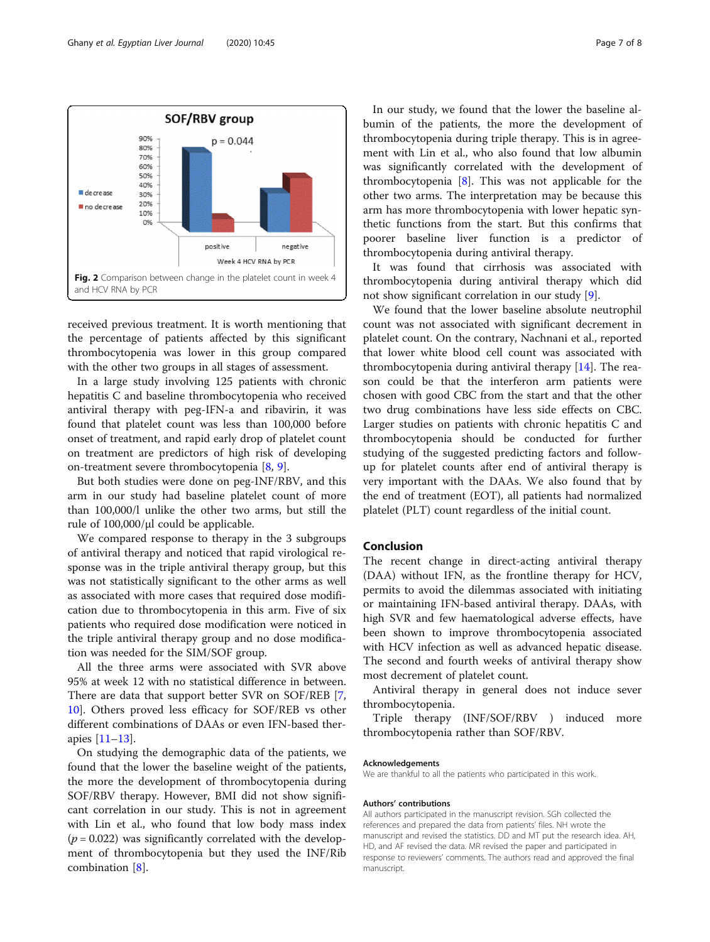<span id="page-6-0"></span>

received previous treatment. It is worth mentioning that the percentage of patients affected by this significant thrombocytopenia was lower in this group compared with the other two groups in all stages of assessment.

In a large study involving 125 patients with chronic hepatitis C and baseline thrombocytopenia who received antiviral therapy with peg-IFN-a and ribavirin, it was found that platelet count was less than 100,000 before onset of treatment, and rapid early drop of platelet count on treatment are predictors of high risk of developing on-treatment severe thrombocytopenia [[8,](#page-7-0) [9\]](#page-7-0).

But both studies were done on peg-INF/RBV, and this arm in our study had baseline platelet count of more than 100,000/l unlike the other two arms, but still the rule of  $100,000/\mu$ l could be applicable.

We compared response to therapy in the 3 subgroups of antiviral therapy and noticed that rapid virological response was in the triple antiviral therapy group, but this was not statistically significant to the other arms as well as associated with more cases that required dose modification due to thrombocytopenia in this arm. Five of six patients who required dose modification were noticed in the triple antiviral therapy group and no dose modification was needed for the SIM/SOF group.

All the three arms were associated with SVR above 95% at week 12 with no statistical difference in between. There are data that support better SVR on SOF/REB [\[7](#page-7-0), [10\]](#page-7-0). Others proved less efficacy for SOF/REB vs other different combinations of DAAs or even IFN-based therapies [\[11](#page-7-0)–[13\]](#page-7-0).

On studying the demographic data of the patients, we found that the lower the baseline weight of the patients, the more the development of thrombocytopenia during SOF/RBV therapy. However, BMI did not show significant correlation in our study. This is not in agreement with Lin et al., who found that low body mass index  $(p = 0.022)$  was significantly correlated with the development of thrombocytopenia but they used the INF/Rib combination [\[8](#page-7-0)].

In our study, we found that the lower the baseline albumin of the patients, the more the development of thrombocytopenia during triple therapy. This is in agreement with Lin et al., who also found that low albumin was significantly correlated with the development of thrombocytopenia [\[8](#page-7-0)]. This was not applicable for the other two arms. The interpretation may be because this arm has more thrombocytopenia with lower hepatic synthetic functions from the start. But this confirms that poorer baseline liver function is a predictor of thrombocytopenia during antiviral therapy.

It was found that cirrhosis was associated with thrombocytopenia during antiviral therapy which did not show significant correlation in our study [[9](#page-7-0)].

We found that the lower baseline absolute neutrophil count was not associated with significant decrement in platelet count. On the contrary, Nachnani et al., reported that lower white blood cell count was associated with thrombocytopenia during antiviral therapy [\[14](#page-7-0)]. The reason could be that the interferon arm patients were chosen with good CBC from the start and that the other two drug combinations have less side effects on CBC. Larger studies on patients with chronic hepatitis C and thrombocytopenia should be conducted for further studying of the suggested predicting factors and followup for platelet counts after end of antiviral therapy is very important with the DAAs. We also found that by the end of treatment (EOT), all patients had normalized platelet (PLT) count regardless of the initial count.

#### Conclusion

The recent change in direct-acting antiviral therapy (DAA) without IFN, as the frontline therapy for HCV, permits to avoid the dilemmas associated with initiating or maintaining IFN-based antiviral therapy. DAAs, with high SVR and few haematological adverse effects, have been shown to improve thrombocytopenia associated with HCV infection as well as advanced hepatic disease. The second and fourth weeks of antiviral therapy show most decrement of platelet count.

Antiviral therapy in general does not induce sever thrombocytopenia.

Triple therapy (INF/SOF/RBV ) induced more thrombocytopenia rather than SOF/RBV.

#### Acknowledgements

We are thankful to all the patients who participated in this work.

#### Authors' contributions

All authors participated in the manuscript revision. SGh collected the references and prepared the data from patients' files. NH wrote the manuscript and revised the statistics. DD and MT put the research idea. AH, HD, and AF revised the data. MR revised the paper and participated in response to reviewers' comments. The authors read and approved the final manuscript.